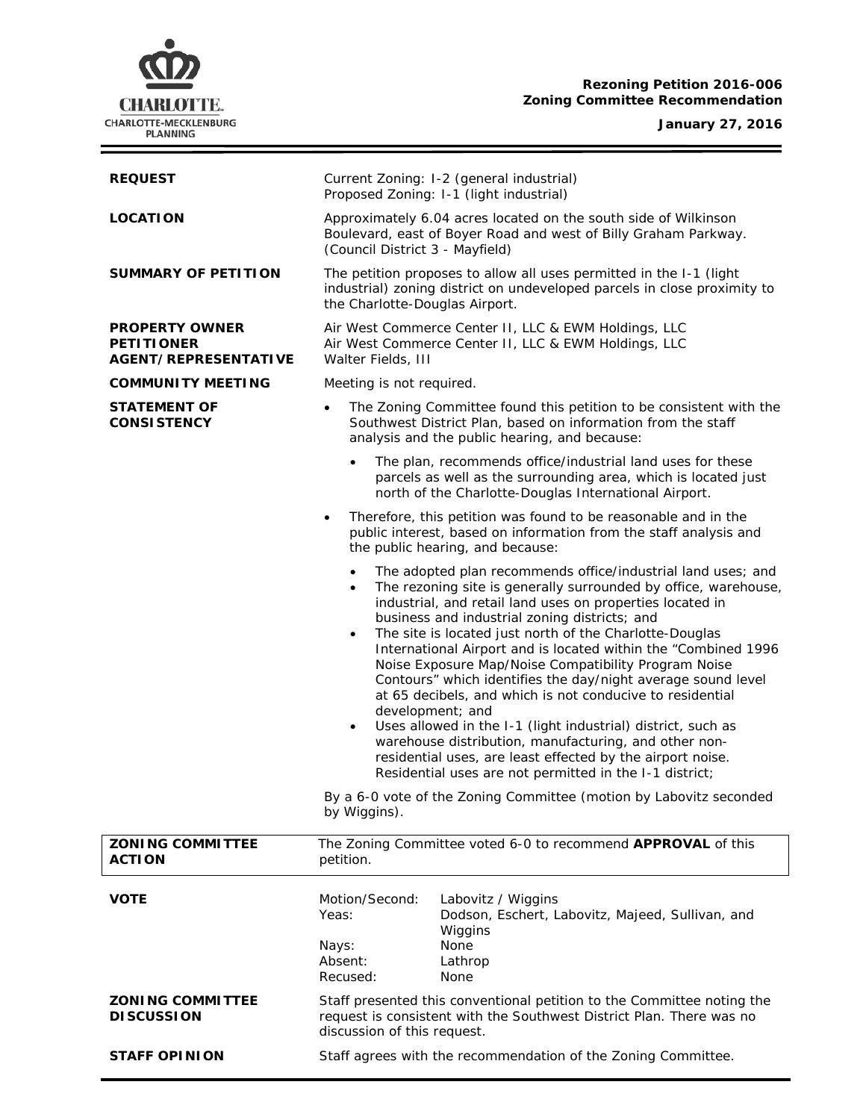# **Rezoning Petition 2016-006 Zoning Committee Recommendation**

## **January 27, 2016**

÷



| <b>REQUEST</b>                                                     | Current Zoning: I-2 (general industrial)<br>Proposed Zoning: I-1 (light industrial)                                                                                                                                                                                                                                                                                                                                                                                                                                                                                                                                                                                                                                                                                                                                                                                                       |
|--------------------------------------------------------------------|-------------------------------------------------------------------------------------------------------------------------------------------------------------------------------------------------------------------------------------------------------------------------------------------------------------------------------------------------------------------------------------------------------------------------------------------------------------------------------------------------------------------------------------------------------------------------------------------------------------------------------------------------------------------------------------------------------------------------------------------------------------------------------------------------------------------------------------------------------------------------------------------|
| <b>LOCATION</b>                                                    | Approximately 6.04 acres located on the south side of Wilkinson<br>Boulevard, east of Boyer Road and west of Billy Graham Parkway.<br>(Council District 3 - Mayfield)                                                                                                                                                                                                                                                                                                                                                                                                                                                                                                                                                                                                                                                                                                                     |
| <b>SUMMARY OF PETITION</b>                                         | The petition proposes to allow all uses permitted in the I-1 (light<br>industrial) zoning district on undeveloped parcels in close proximity to<br>the Charlotte-Douglas Airport.                                                                                                                                                                                                                                                                                                                                                                                                                                                                                                                                                                                                                                                                                                         |
| <b>PROPERTY OWNER</b><br><b>PETITIONER</b><br>AGENT/REPRESENTATIVE | Air West Commerce Center II, LLC & EWM Holdings, LLC<br>Air West Commerce Center II, LLC & EWM Holdings, LLC<br>Walter Fields, III                                                                                                                                                                                                                                                                                                                                                                                                                                                                                                                                                                                                                                                                                                                                                        |
| <b>COMMUNITY MEETING</b>                                           | Meeting is not required.                                                                                                                                                                                                                                                                                                                                                                                                                                                                                                                                                                                                                                                                                                                                                                                                                                                                  |
| <b>STATEMENT OF</b><br><b>CONSISTENCY</b>                          | The Zoning Committee found this petition to be consistent with the<br>$\bullet$<br>Southwest District Plan, based on information from the staff<br>analysis and the public hearing, and because:                                                                                                                                                                                                                                                                                                                                                                                                                                                                                                                                                                                                                                                                                          |
|                                                                    | The plan, recommends office/industrial land uses for these<br>parcels as well as the surrounding area, which is located just<br>north of the Charlotte-Douglas International Airport.                                                                                                                                                                                                                                                                                                                                                                                                                                                                                                                                                                                                                                                                                                     |
|                                                                    | Therefore, this petition was found to be reasonable and in the<br>$\bullet$<br>public interest, based on information from the staff analysis and<br>the public hearing, and because:                                                                                                                                                                                                                                                                                                                                                                                                                                                                                                                                                                                                                                                                                                      |
|                                                                    | The adopted plan recommends office/industrial land uses; and<br>$\bullet$<br>The rezoning site is generally surrounded by office, warehouse,<br>$\bullet$<br>industrial, and retail land uses on properties located in<br>business and industrial zoning districts; and<br>The site is located just north of the Charlotte-Douglas<br>$\bullet$<br>International Airport and is located within the "Combined 1996<br>Noise Exposure Map/Noise Compatibility Program Noise<br>Contours" which identifies the day/night average sound level<br>at 65 decibels, and which is not conducive to residential<br>development; and<br>Uses allowed in the I-1 (light industrial) district, such as<br>$\bullet$<br>warehouse distribution, manufacturing, and other non-<br>residential uses, are least effected by the airport noise.<br>Residential uses are not permitted in the I-1 district; |
|                                                                    | By a 6-0 vote of the Zoning Committee (motion by Labovitz seconded<br>by Wiggins).                                                                                                                                                                                                                                                                                                                                                                                                                                                                                                                                                                                                                                                                                                                                                                                                        |
| <b>ZONING COMMITTEE</b><br><b>ACTION</b>                           | The Zoning Committee voted 6-0 to recommend APPROVAL of this<br>petition.                                                                                                                                                                                                                                                                                                                                                                                                                                                                                                                                                                                                                                                                                                                                                                                                                 |
| <b>VOTE</b>                                                        | Motion/Second:<br>Labovitz / Wiggins<br>Yeas:<br>Dodson, Eschert, Labovitz, Majeed, Sullivan, and<br>Wiggins<br>None<br>Nays:<br>Absent:<br>Lathrop<br>Recused:<br>None                                                                                                                                                                                                                                                                                                                                                                                                                                                                                                                                                                                                                                                                                                                   |
| <b>ZONING COMMITTEE</b><br><b>DISCUSSION</b>                       | Staff presented this conventional petition to the Committee noting the<br>request is consistent with the Southwest District Plan. There was no<br>discussion of this request.                                                                                                                                                                                                                                                                                                                                                                                                                                                                                                                                                                                                                                                                                                             |
| <b>STAFF OPINION</b>                                               | Staff agrees with the recommendation of the Zoning Committee.                                                                                                                                                                                                                                                                                                                                                                                                                                                                                                                                                                                                                                                                                                                                                                                                                             |